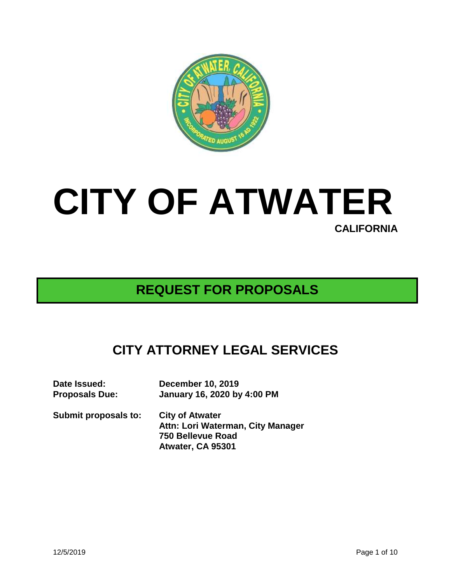

# **CITY OF ATWATER CALIFORNIA**

# **REQUEST FOR PROPOSALS**

# **CITY ATTORNEY LEGAL SERVICES**

| Date Issued:          | <b>December 10, 2019</b>                                                                              |
|-----------------------|-------------------------------------------------------------------------------------------------------|
| <b>Proposals Due:</b> | January 16, 2020 by 4:00 PM                                                                           |
| Submit proposals to:  | <b>City of Atwater</b><br>Attn: Lori Waterman, City Manager<br>750 Bellevue Road<br>Atwater, CA 95301 |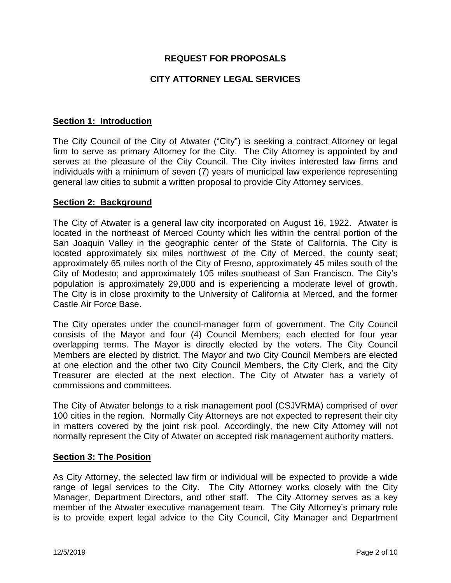# **REQUEST FOR PROPOSALS**

# **CITY ATTORNEY LEGAL SERVICES**

#### **Section 1: Introduction**

The City Council of the City of Atwater ("City") is seeking a contract Attorney or legal firm to serve as primary Attorney for the City. The City Attorney is appointed by and serves at the pleasure of the City Council. The City invites interested law firms and individuals with a minimum of seven (7) years of municipal law experience representing general law cities to submit a written proposal to provide City Attorney services.

#### **Section 2: Background**

The City of Atwater is a general law city incorporated on August 16, 1922. Atwater is located in the northeast of Merced County which lies within the central portion of the San Joaquin Valley in the geographic center of the State of California. The City is located approximately six miles northwest of the City of Merced, the county seat; approximately 65 miles north of the City of Fresno, approximately 45 miles south of the City of Modesto; and approximately 105 miles southeast of San Francisco. The City's population is approximately 29,000 and is experiencing a moderate level of growth. The City is in close proximity to the University of California at Merced, and the former Castle Air Force Base.

The City operates under the council-manager form of government. The City Council consists of the Mayor and four (4) Council Members; each elected for four year overlapping terms. The Mayor is directly elected by the voters. The City Council Members are elected by district. The Mayor and two City Council Members are elected at one election and the other two City Council Members, the City Clerk, and the City Treasurer are elected at the next election. The City of Atwater has a variety of commissions and committees.

The City of Atwater belongs to a risk management pool (CSJVRMA) comprised of over 100 cities in the region. Normally City Attorneys are not expected to represent their city in matters covered by the joint risk pool. Accordingly, the new City Attorney will not normally represent the City of Atwater on accepted risk management authority matters.

#### **Section 3: The Position**

As City Attorney, the selected law firm or individual will be expected to provide a wide range of legal services to the City. The City Attorney works closely with the City Manager, Department Directors, and other staff. The City Attorney serves as a key member of the Atwater executive management team. The City Attorney's primary role is to provide expert legal advice to the City Council, City Manager and Department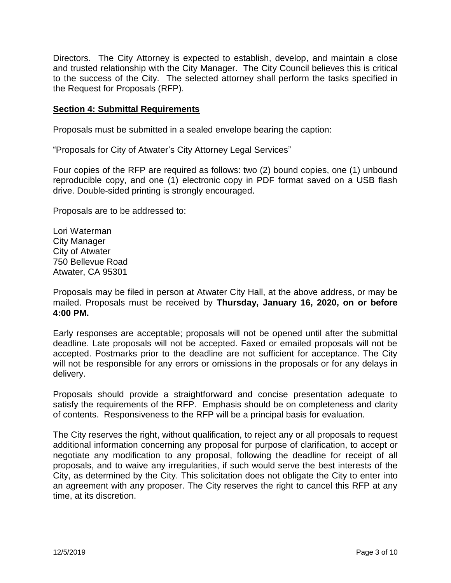Directors. The City Attorney is expected to establish, develop, and maintain a close and trusted relationship with the City Manager. The City Council believes this is critical to the success of the City. The selected attorney shall perform the tasks specified in the Request for Proposals (RFP).

#### **Section 4: Submittal Requirements**

Proposals must be submitted in a sealed envelope bearing the caption:

"Proposals for City of Atwater's City Attorney Legal Services"

Four copies of the RFP are required as follows: two (2) bound copies, one (1) unbound reproducible copy, and one (1) electronic copy in PDF format saved on a USB flash drive. Double-sided printing is strongly encouraged.

Proposals are to be addressed to:

Lori Waterman City Manager City of Atwater 750 Bellevue Road Atwater, CA 95301

Proposals may be filed in person at Atwater City Hall, at the above address, or may be mailed. Proposals must be received by **Thursday, January 16, 2020, on or before 4:00 PM.**

Early responses are acceptable; proposals will not be opened until after the submittal deadline. Late proposals will not be accepted. Faxed or emailed proposals will not be accepted. Postmarks prior to the deadline are not sufficient for acceptance. The City will not be responsible for any errors or omissions in the proposals or for any delays in delivery.

Proposals should provide a straightforward and concise presentation adequate to satisfy the requirements of the RFP. Emphasis should be on completeness and clarity of contents. Responsiveness to the RFP will be a principal basis for evaluation.

The City reserves the right, without qualification, to reject any or all proposals to request additional information concerning any proposal for purpose of clarification, to accept or negotiate any modification to any proposal, following the deadline for receipt of all proposals, and to waive any irregularities, if such would serve the best interests of the City, as determined by the City. This solicitation does not obligate the City to enter into an agreement with any proposer. The City reserves the right to cancel this RFP at any time, at its discretion.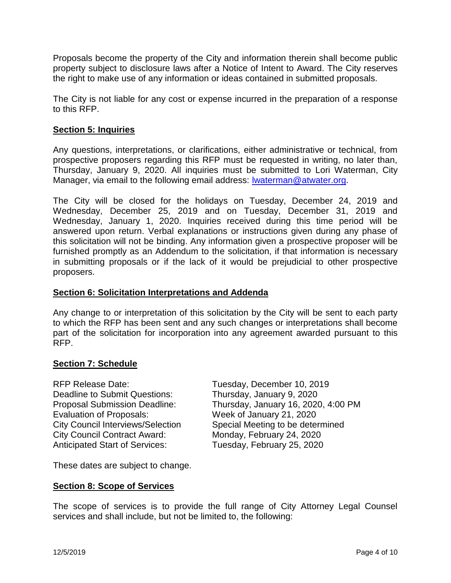Proposals become the property of the City and information therein shall become public property subject to disclosure laws after a Notice of Intent to Award. The City reserves the right to make use of any information or ideas contained in submitted proposals.

The City is not liable for any cost or expense incurred in the preparation of a response to this RFP.

# **Section 5: Inquiries**

Any questions, interpretations, or clarifications, either administrative or technical, from prospective proposers regarding this RFP must be requested in writing, no later than, Thursday, January 9, 2020. All inquiries must be submitted to Lori Waterman, City Manager, via email to the following email address: Iwaterman@atwater.org.

The City will be closed for the holidays on Tuesday, December 24, 2019 and Wednesday, December 25, 2019 and on Tuesday, December 31, 2019 and Wednesday, January 1, 2020. Inquiries received during this time period will be answered upon return. Verbal explanations or instructions given during any phase of this solicitation will not be binding. Any information given a prospective proposer will be furnished promptly as an Addendum to the solicitation, if that information is necessary in submitting proposals or if the lack of it would be prejudicial to other prospective proposers.

#### **Section 6: Solicitation Interpretations and Addenda**

Any change to or interpretation of this solicitation by the City will be sent to each party to which the RFP has been sent and any such changes or interpretations shall become part of the solicitation for incorporation into any agreement awarded pursuant to this RFP.

# **Section 7: Schedule**

RFP Release Date: Tuesday, December 10, 2019 Deadline to Submit Questions: Thursday, January 9, 2020 Evaluation of Proposals: Week of January 21, 2020 City Council Contract Award: Monday, February 24, 2020 Anticipated Start of Services: Tuesday, February 25, 2020

Proposal Submission Deadline: Thursday, January 16, 2020, 4:00 PM City Council Interviews/Selection Special Meeting to be determined

These dates are subject to change.

# **Section 8: Scope of Services**

The scope of services is to provide the full range of City Attorney Legal Counsel services and shall include, but not be limited to, the following: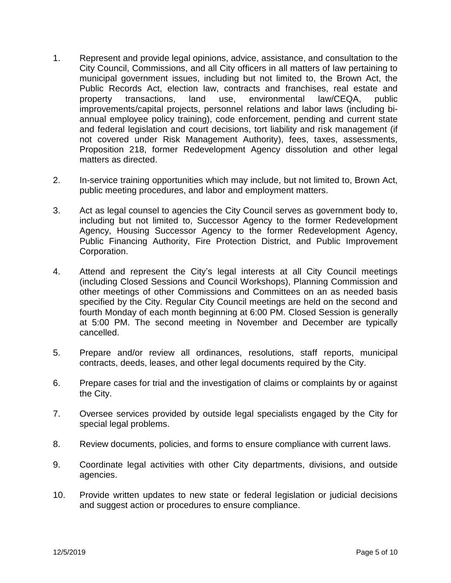- 1. Represent and provide legal opinions, advice, assistance, and consultation to the City Council, Commissions, and all City officers in all matters of law pertaining to municipal government issues, including but not limited to, the Brown Act, the Public Records Act, election law, contracts and franchises, real estate and property transactions, land use, environmental law/CEQA, public improvements/capital projects, personnel relations and labor laws (including biannual employee policy training), code enforcement, pending and current state and federal legislation and court decisions, tort liability and risk management (if not covered under Risk Management Authority), fees, taxes, assessments, Proposition 218, former Redevelopment Agency dissolution and other legal matters as directed.
- 2. In-service training opportunities which may include, but not limited to, Brown Act, public meeting procedures, and labor and employment matters.
- 3. Act as legal counsel to agencies the City Council serves as government body to, including but not limited to, Successor Agency to the former Redevelopment Agency, Housing Successor Agency to the former Redevelopment Agency, Public Financing Authority, Fire Protection District, and Public Improvement Corporation.
- 4. Attend and represent the City's legal interests at all City Council meetings (including Closed Sessions and Council Workshops), Planning Commission and other meetings of other Commissions and Committees on an as needed basis specified by the City. Regular City Council meetings are held on the second and fourth Monday of each month beginning at 6:00 PM. Closed Session is generally at 5:00 PM. The second meeting in November and December are typically cancelled.
- 5. Prepare and/or review all ordinances, resolutions, staff reports, municipal contracts, deeds, leases, and other legal documents required by the City.
- 6. Prepare cases for trial and the investigation of claims or complaints by or against the City.
- 7. Oversee services provided by outside legal specialists engaged by the City for special legal problems.
- 8. Review documents, policies, and forms to ensure compliance with current laws.
- 9. Coordinate legal activities with other City departments, divisions, and outside agencies.
- 10. Provide written updates to new state or federal legislation or judicial decisions and suggest action or procedures to ensure compliance.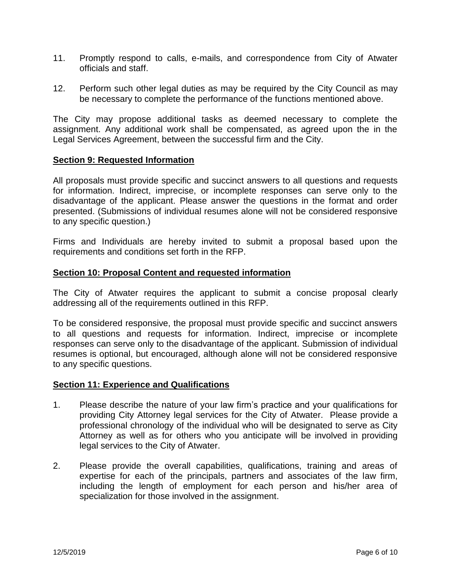- 11. Promptly respond to calls, e-mails, and correspondence from City of Atwater officials and staff.
- 12. Perform such other legal duties as may be required by the City Council as may be necessary to complete the performance of the functions mentioned above.

The City may propose additional tasks as deemed necessary to complete the assignment. Any additional work shall be compensated, as agreed upon the in the Legal Services Agreement, between the successful firm and the City.

#### **Section 9: Requested Information**

All proposals must provide specific and succinct answers to all questions and requests for information. Indirect, imprecise, or incomplete responses can serve only to the disadvantage of the applicant. Please answer the questions in the format and order presented. (Submissions of individual resumes alone will not be considered responsive to any specific question.)

Firms and Individuals are hereby invited to submit a proposal based upon the requirements and conditions set forth in the RFP.

#### **Section 10: Proposal Content and requested information**

The City of Atwater requires the applicant to submit a concise proposal clearly addressing all of the requirements outlined in this RFP.

To be considered responsive, the proposal must provide specific and succinct answers to all questions and requests for information. Indirect, imprecise or incomplete responses can serve only to the disadvantage of the applicant. Submission of individual resumes is optional, but encouraged, although alone will not be considered responsive to any specific questions.

#### **Section 11: Experience and Qualifications**

- 1. Please describe the nature of your law firm's practice and your qualifications for providing City Attorney legal services for the City of Atwater. Please provide a professional chronology of the individual who will be designated to serve as City Attorney as well as for others who you anticipate will be involved in providing legal services to the City of Atwater.
- 2. Please provide the overall capabilities, qualifications, training and areas of expertise for each of the principals, partners and associates of the law firm, including the length of employment for each person and his/her area of specialization for those involved in the assignment.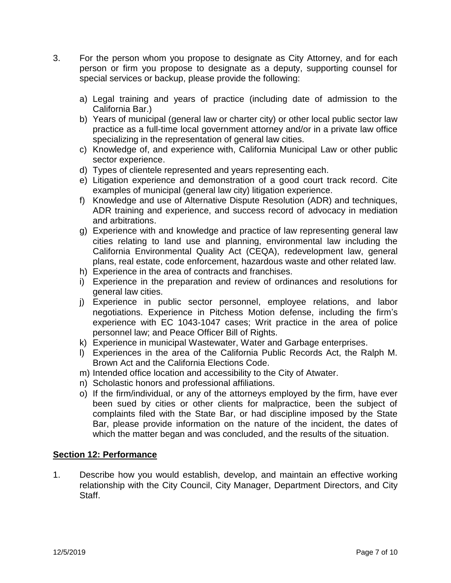- 3. For the person whom you propose to designate as City Attorney, and for each person or firm you propose to designate as a deputy, supporting counsel for special services or backup, please provide the following:
	- a) Legal training and years of practice (including date of admission to the California Bar.)
	- b) Years of municipal (general law or charter city) or other local public sector law practice as a full-time local government attorney and/or in a private law office specializing in the representation of general law cities.
	- c) Knowledge of, and experience with, California Municipal Law or other public sector experience.
	- d) Types of clientele represented and years representing each.
	- e) Litigation experience and demonstration of a good court track record. Cite examples of municipal (general law city) litigation experience.
	- f) Knowledge and use of Alternative Dispute Resolution (ADR) and techniques, ADR training and experience, and success record of advocacy in mediation and arbitrations.
	- g) Experience with and knowledge and practice of law representing general law cities relating to land use and planning, environmental law including the California Environmental Quality Act (CEQA), redevelopment law, general plans, real estate, code enforcement, hazardous waste and other related law.
	- h) Experience in the area of contracts and franchises.
	- i) Experience in the preparation and review of ordinances and resolutions for general law cities.
	- j) Experience in public sector personnel, employee relations, and labor negotiations. Experience in Pitchess Motion defense, including the firm's experience with EC 1043-1047 cases; Writ practice in the area of police personnel law; and Peace Officer Bill of Rights.
	- k) Experience in municipal Wastewater, Water and Garbage enterprises.
	- l) Experiences in the area of the California Public Records Act, the Ralph M. Brown Act and the California Elections Code.
	- m) Intended office location and accessibility to the City of Atwater.
	- n) Scholastic honors and professional affiliations.
	- o) If the firm/individual, or any of the attorneys employed by the firm, have ever been sued by cities or other clients for malpractice, been the subject of complaints filed with the State Bar, or had discipline imposed by the State Bar, please provide information on the nature of the incident, the dates of which the matter began and was concluded, and the results of the situation.

# **Section 12: Performance**

1. Describe how you would establish, develop, and maintain an effective working relationship with the City Council, City Manager, Department Directors, and City Staff.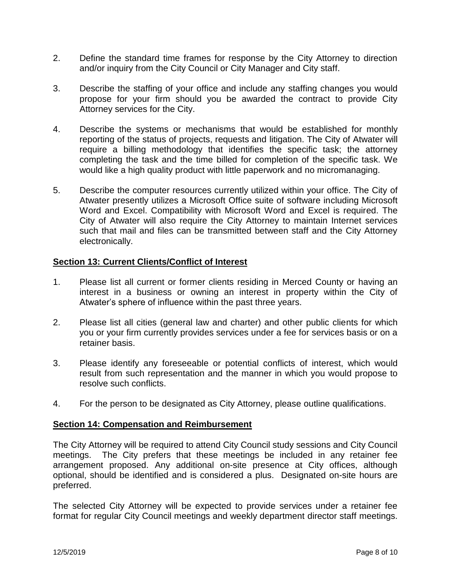- 2. Define the standard time frames for response by the City Attorney to direction and/or inquiry from the City Council or City Manager and City staff.
- 3. Describe the staffing of your office and include any staffing changes you would propose for your firm should you be awarded the contract to provide City Attorney services for the City.
- 4. Describe the systems or mechanisms that would be established for monthly reporting of the status of projects, requests and litigation. The City of Atwater will require a billing methodology that identifies the specific task; the attorney completing the task and the time billed for completion of the specific task. We would like a high quality product with little paperwork and no micromanaging.
- 5. Describe the computer resources currently utilized within your office. The City of Atwater presently utilizes a Microsoft Office suite of software including Microsoft Word and Excel. Compatibility with Microsoft Word and Excel is required. The City of Atwater will also require the City Attorney to maintain Internet services such that mail and files can be transmitted between staff and the City Attorney electronically.

# **Section 13: Current Clients/Conflict of Interest**

- 1. Please list all current or former clients residing in Merced County or having an interest in a business or owning an interest in property within the City of Atwater's sphere of influence within the past three years.
- 2. Please list all cities (general law and charter) and other public clients for which you or your firm currently provides services under a fee for services basis or on a retainer basis.
- 3. Please identify any foreseeable or potential conflicts of interest, which would result from such representation and the manner in which you would propose to resolve such conflicts.
- 4. For the person to be designated as City Attorney, please outline qualifications.

#### **Section 14: Compensation and Reimbursement**

The City Attorney will be required to attend City Council study sessions and City Council meetings. The City prefers that these meetings be included in any retainer fee arrangement proposed. Any additional on-site presence at City offices, although optional, should be identified and is considered a plus. Designated on-site hours are preferred.

The selected City Attorney will be expected to provide services under a retainer fee format for regular City Council meetings and weekly department director staff meetings.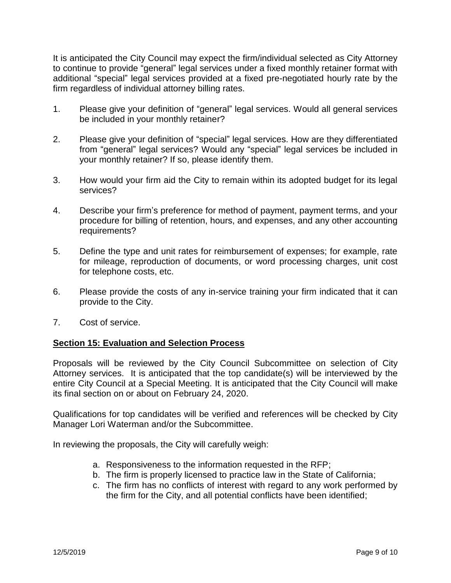It is anticipated the City Council may expect the firm/individual selected as City Attorney to continue to provide "general" legal services under a fixed monthly retainer format with additional "special" legal services provided at a fixed pre-negotiated hourly rate by the firm regardless of individual attorney billing rates.

- 1. Please give your definition of "general" legal services. Would all general services be included in your monthly retainer?
- 2. Please give your definition of "special" legal services. How are they differentiated from "general" legal services? Would any "special" legal services be included in your monthly retainer? If so, please identify them.
- 3. How would your firm aid the City to remain within its adopted budget for its legal services?
- 4. Describe your firm's preference for method of payment, payment terms, and your procedure for billing of retention, hours, and expenses, and any other accounting requirements?
- 5. Define the type and unit rates for reimbursement of expenses; for example, rate for mileage, reproduction of documents, or word processing charges, unit cost for telephone costs, etc.
- 6. Please provide the costs of any in-service training your firm indicated that it can provide to the City.
- 7. Cost of service.

# **Section 15: Evaluation and Selection Process**

Proposals will be reviewed by the City Council Subcommittee on selection of City Attorney services. It is anticipated that the top candidate(s) will be interviewed by the entire City Council at a Special Meeting. It is anticipated that the City Council will make its final section on or about on February 24, 2020.

Qualifications for top candidates will be verified and references will be checked by City Manager Lori Waterman and/or the Subcommittee.

In reviewing the proposals, the City will carefully weigh:

- a. Responsiveness to the information requested in the RFP;
- b. The firm is properly licensed to practice law in the State of California;
- c. The firm has no conflicts of interest with regard to any work performed by the firm for the City, and all potential conflicts have been identified;